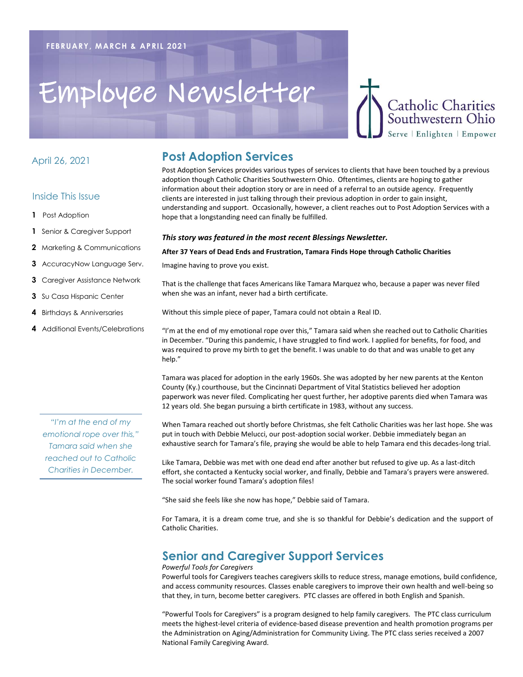## Employee Newsletter

#### April 26, 2021

#### Inside This Issue

- **1** Post Adoption
- **1** Senior & Caregiver Support
- **2** Marketing & Communications
- **3** AccuracyNow Language Serv.
- **3** Caregiver Assistance Network
- **3** Su Casa Hispanic Center
- **4** Birthdays & Anniversaries
- **4** Additional Events/Celebrations

*"I'm at the end of my emotional rope over this," Tamara said when she reached out to Catholic Charities in December.*

## **Post Adoption Services**

Post Adoption Services provides various types of services to clients that have been touched by a previous adoption though Catholic Charities Southwestern Ohio. Oftentimes, clients are hoping to gather information about their adoption story or are in need of a referral to an outside agency. Frequently clients are interested in just talking through their previous adoption in order to gain insight, understanding and support. Occasionally, however, a client reaches out to Post Adoption Services with a hope that a longstanding need can finally be fulfilled.

**Catholic Charities** Southwestern Ohio Serve | Enlighten | Empower

#### *This story was featured in the most recent Blessings Newsletter.*

#### **After 37 Years of Dead Ends and Frustration, Tamara Finds Hope through Catholic Charities**

Imagine having to prove you exist.

That is the challenge that faces Americans like Tamara Marquez who, because a paper was never filed when she was an infant, never had a birth certificate.

Without this simple piece of paper, Tamara could not obtain a Real ID.

"I'm at the end of my emotional rope over this," Tamara said when she reached out to Catholic Charities in December. "During this pandemic, I have struggled to find work. I applied for benefits, for food, and was required to prove my birth to get the benefit. I was unable to do that and was unable to get any help."

Tamara was placed for adoption in the early 1960s. She was adopted by her new parents at the Kenton County (Ky.) courthouse, but the Cincinnati Department of Vital Statistics believed her adoption paperwork was never filed. Complicating her quest further, her adoptive parents died when Tamara was 12 years old. She began pursuing a birth certificate in 1983, without any success.

When Tamara reached out shortly before Christmas, she felt Catholic Charities was her last hope. She was put in touch with Debbie Melucci, our post-adoption social worker. Debbie immediately began an exhaustive search for Tamara's file, praying she would be able to help Tamara end this decades-long trial.

Like Tamara, Debbie was met with one dead end after another but refused to give up. As a last-ditch effort, she contacted a Kentucky social worker, and finally, Debbie and Tamara's prayers were answered. The social worker found Tamara's adoption files!

"She said she feels like she now has hope," Debbie said of Tamara.

For Tamara, it is a dream come true, and she is so thankful for Debbie's dedication and the support of Catholic Charities.

## **Senior and Caregiver Support Services**

#### *Powerful Tools for Caregivers*

Powerful tools for Caregivers teaches caregivers skills to reduce stress, manage emotions, build confidence, and access community resources. Classes enable caregivers to improve their own health and well-being so that they, in turn, become better caregivers. PTC classes are offered in both English and Spanish.

"Powerful Tools for Caregivers" is a program designed to help family caregivers. The PTC class curriculum meets the highest-level criteria of evidence-based disease prevention and health promotion programs per the Administration on Aging/Administration for Community Living. The PTC class series received a 2007 National Family Caregiving Award.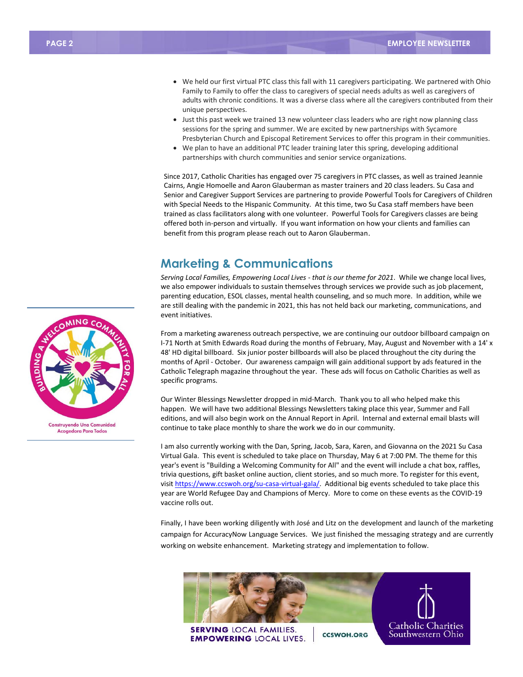- We held our first virtual PTC class this fall with 11 caregivers participating. We partnered with Ohio Family to Family to offer the class to caregivers of special needs adults as well as caregivers of adults with chronic conditions. It was a diverse class where all the caregivers contributed from their unique perspectives.
- Just this past week we trained 13 new volunteer class leaders who are right now planning class sessions for the spring and summer. We are excited by new partnerships with Sycamore Presbyterian Church and Episcopal Retirement Services to offer this program in their communities.
- We plan to have an additional PTC leader training later this spring, developing additional partnerships with church communities and senior service organizations.

Since 2017, Catholic Charities has engaged over 75 caregivers in PTC classes, as well as trained Jeannie Cairns, Angie Homoelle and Aaron Glauberman as master trainers and 20 class leaders. Su Casa and Senior and Caregiver Support Services are partnering to provide Powerful Tools for Caregivers of Children with Special Needs to the Hispanic Community. At this time, two Su Casa staff members have been trained as class facilitators along with one volunteer. Powerful Tools for Caregivers classes are being offered both in-person and virtually. If you want information on how your clients and families can benefit from this program please reach out to Aaron Glauberman.

### **Marketing & Communications**

*Serving Local Families, Empowering Local Lives - that is our theme for 2021*. While we change local lives, we also empower individuals to sustain themselves through services we provide such as job placement, parenting education, ESOL classes, mental health counseling, and so much more. In addition, while we are still dealing with the pandemic in 2021, this has not held back our marketing, communications, and event initiatives.

From a marketing awareness outreach perspective, we are continuing our outdoor billboard campaign on I-71 North at Smith Edwards Road during the months of February, May, August and November with a 14' x 48' HD digital billboard. Six junior poster billboards will also be placed throughout the city during the months of April - October. Our awareness campaign will gain additional support by ads featured in the Catholic Telegraph magazine throughout the year. These ads will focus on Catholic Charities as well as specific programs.

Our Winter Blessings Newsletter dropped in mid-March. Thank you to all who helped make this happen. We will have two additional Blessings Newsletters taking place this year, Summer and Fall editions, and will also begin work on the Annual Report in April. Internal and external email blasts will continue to take place monthly to share the work we do in our community.

I am also currently working with the Dan, Spring, Jacob, Sara, Karen, and Giovanna on the 2021 Su Casa Virtual Gala. This event is scheduled to take place on Thursday, May 6 at 7:00 PM. The theme for this year's event is "Building a Welcoming Community for All" and the event will include a chat box, raffles, trivia questions, gift basket online auction, client stories, and so much more. To register for this event, visit [https://www.ccswoh.org/su-casa-virtual-gala/.](https://www.ccswoh.org/su-casa-virtual-gala/) Additional big events scheduled to take place this year are World Refugee Day and Champions of Mercy. More to come on these events as the COVID-19 vaccine rolls out.

Finally, I have been working diligently with José and Litz on the development and launch of the marketing campaign for AccuracyNow Language Services. We just finished the messaging strategy and are currently working on website enhancement. Marketing strategy and implementation to follow.



**AING Construyendo Una Comunidad** Acogedora Para Todos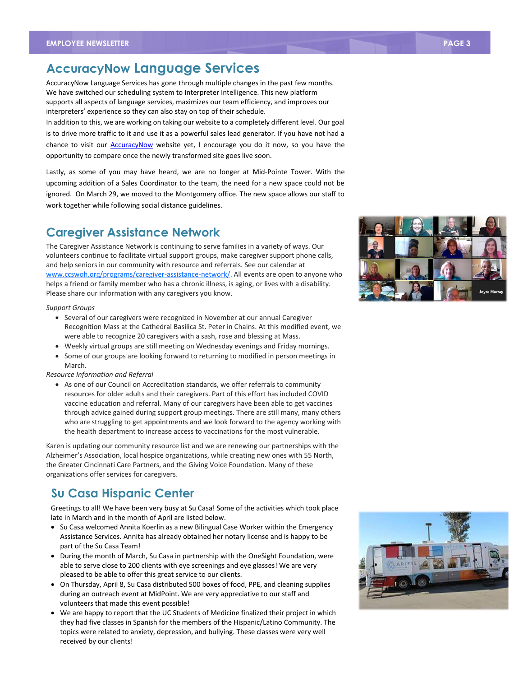## **AccuracyNow Language Services**

AccuracyNow Language Services has gone through multiple changes in the past few months. We have switched our scheduling system to Interpreter Intelligence. This new platform supports all aspects of language services, maximizes our team efficiency, and improves our interpreters' experience so they can also stay on top of their schedule.

In addition to this, we are working on taking our website to a completely different level. Our goal is to drive more traffic to it and use it as a powerful sales lead generator. If you have not had a chance to visit our **AccuracyNow** website yet, I encourage you do it now, so you have the opportunity to compare once the newly transformed site goes live soon.

Lastly, as some of you may have heard, we are no longer at Mid-Pointe Tower. With the upcoming addition of a Sales Coordinator to the team, the need for a new space could not be ignored. On March 29, we moved to the Montgomery office. The new space allows our staff to work together while following social distance guidelines.

## **Caregiver Assistance Network**

The Caregiver Assistance Network is continuing to serve families in a variety of ways. Our volunteers continue to facilitate virtual support groups, make caregiver support phone calls, and help seniors in our community with resource and referrals. See our calendar at [www.ccswoh.org/programs/caregiver-assistance-network/.](http://www.ccswoh.org/programs/caregiver-assistance-network/) All events are open to anyone who helps a friend or family member who has a chronic illness, is aging, or lives with a disability. Please share our information with any caregivers you know.

#### *Support Groups*

- Several of our caregivers were recognized in November at our annual Caregiver Recognition Mass at the Cathedral Basilica St. Peter in Chains. At this modified event, we were able to recognize 20 caregivers with a sash, rose and blessing at Mass.
- Weekly virtual groups are still meeting on Wednesday evenings and Friday mornings.
- Some of our groups are looking forward to returning to modified in person meetings in March.

#### *Resource Information and Referral*

 As one of our Council on Accreditation standards, we offer referrals to community resources for older adults and their caregivers. Part of this effort has included COVID vaccine education and referral. Many of our caregivers have been able to get vaccines through advice gained during support group meetings. There are still many, many others who are struggling to get appointments and we look forward to the agency working with the health department to increase access to vaccinations for the most vulnerable.

Karen is updating our community resource list and we are renewing our partnerships with the Alzheimer's Association, local hospice organizations, while creating new ones with 55 North, the Greater Cincinnati Care Partners, and the Giving Voice Foundation. Many of these organizations offer services for caregivers.

## **Su Casa Hispanic Center**

Greetings to all! We have been very busy at Su Casa! Some of the activities which took place late in March and in the month of April are listed below.

- Su Casa welcomed Annita Koerlin as a new Bilingual Case Worker within the Emergency Assistance Services. Annita has already obtained her notary license and is happy to be part of the Su Casa Team!
- During the month of March, Su Casa in partnership with the OneSight Foundation, were able to serve close to 200 clients with eye screenings and eye glasses! We are very pleased to be able to offer this great service to our clients.
- On Thursday, April 8, Su Casa distributed 500 boxes of food, PPE, and cleaning supplies during an outreach event at MidPoint. We are very appreciative to our staff and volunteers that made this event possible!
- We are happy to report that the UC Students of Medicine finalized their project in which they had five classes in Spanish for the members of the Hispanic/Latino Community. The topics were related to anxiety, depression, and bullying. These classes were very well received by our clients!